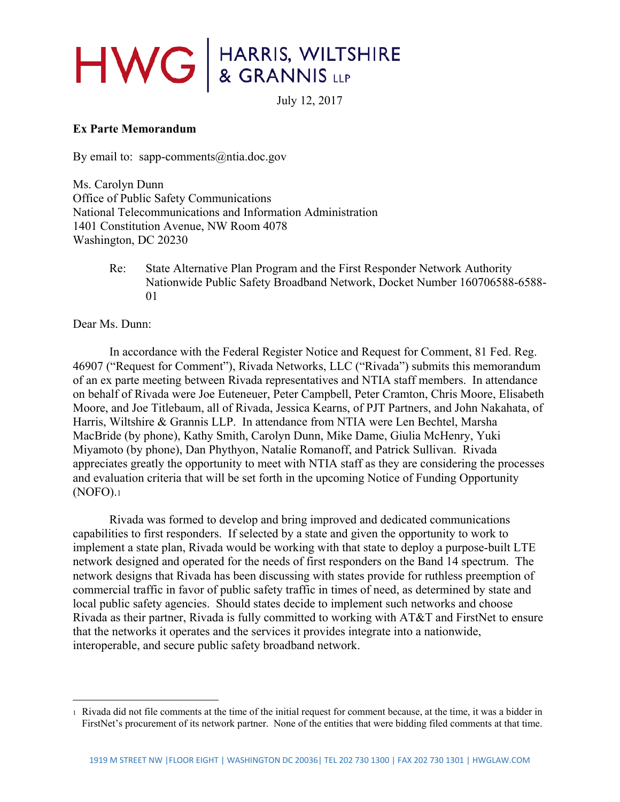## HWG & GRANNIS LLP

July 12, 2017

## **Ex Parte Memorandum**

By email to: sapp-comments  $(\partial \text{ntia.doc.gov})$ 

Ms. Carolyn Dunn Office of Public Safety Communications National Telecommunications and Information Administration 1401 Constitution Avenue, NW Room 4078 Washington, DC 20230

> Re: State Alternative Plan Program and the First Responder Network Authority Nationwide Public Safety Broadband Network, Docket Number 160706588-6588- 01

Dear Ms. Dunn:

 $\overline{a}$ 

 In accordance with the Federal Register Notice and Request for Comment, 81 Fed. Reg. 46907 ("Request for Comment"), Rivada Networks, LLC ("Rivada") submits this memorandum of an ex parte meeting between Rivada representatives and NTIA staff members. In attendance on behalf of Rivada were Joe Euteneuer, Peter Campbell, Peter Cramton, Chris Moore, Elisabeth Moore, and Joe Titlebaum, all of Rivada, Jessica Kearns, of PJT Partners, and John Nakahata, of Harris, Wiltshire & Grannis LLP. In attendance from NTIA were Len Bechtel, Marsha MacBride (by phone), Kathy Smith, Carolyn Dunn, Mike Dame, Giulia McHenry, Yuki Miyamoto (by phone), Dan Phythyon, Natalie Romanoff, and Patrick Sullivan. Rivada appreciates greatly the opportunity to meet with NTIA staff as they are considering the processes and evaluation criteria that will be set forth in the upcoming Notice of Funding Opportunity (NOFO).1

 Rivada was formed to develop and bring improved and dedicated communications capabilities to first responders. If selected by a state and given the opportunity to work to implement a state plan, Rivada would be working with that state to deploy a purpose-built LTE network designed and operated for the needs of first responders on the Band 14 spectrum. The network designs that Rivada has been discussing with states provide for ruthless preemption of commercial traffic in favor of public safety traffic in times of need, as determined by state and local public safety agencies. Should states decide to implement such networks and choose Rivada as their partner, Rivada is fully committed to working with AT&T and FirstNet to ensure that the networks it operates and the services it provides integrate into a nationwide, interoperable, and secure public safety broadband network.

<sup>1</sup> Rivada did not file comments at the time of the initial request for comment because, at the time, it was a bidder in FirstNet's procurement of its network partner. None of the entities that were bidding filed comments at that time.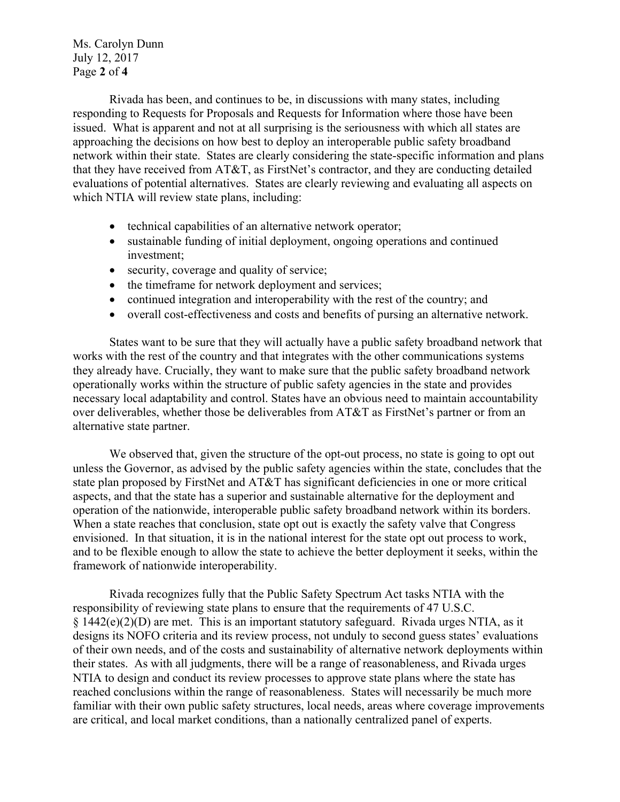Ms. Carolyn Dunn July 12, 2017 Page **2** of **4**

 Rivada has been, and continues to be, in discussions with many states, including responding to Requests for Proposals and Requests for Information where those have been issued. What is apparent and not at all surprising is the seriousness with which all states are approaching the decisions on how best to deploy an interoperable public safety broadband network within their state. States are clearly considering the state-specific information and plans that they have received from AT&T, as FirstNet's contractor, and they are conducting detailed evaluations of potential alternatives. States are clearly reviewing and evaluating all aspects on which NTIA will review state plans, including:

- technical capabilities of an alternative network operator;
- sustainable funding of initial deployment, ongoing operations and continued investment;
- security, coverage and quality of service;
- the timeframe for network deployment and services;
- continued integration and interoperability with the rest of the country; and
- overall cost-effectiveness and costs and benefits of pursing an alternative network.

States want to be sure that they will actually have a public safety broadband network that works with the rest of the country and that integrates with the other communications systems they already have. Crucially, they want to make sure that the public safety broadband network operationally works within the structure of public safety agencies in the state and provides necessary local adaptability and control. States have an obvious need to maintain accountability over deliverables, whether those be deliverables from AT&T as FirstNet's partner or from an alternative state partner.

We observed that, given the structure of the opt-out process, no state is going to opt out unless the Governor, as advised by the public safety agencies within the state, concludes that the state plan proposed by FirstNet and AT&T has significant deficiencies in one or more critical aspects, and that the state has a superior and sustainable alternative for the deployment and operation of the nationwide, interoperable public safety broadband network within its borders. When a state reaches that conclusion, state opt out is exactly the safety valve that Congress envisioned. In that situation, it is in the national interest for the state opt out process to work, and to be flexible enough to allow the state to achieve the better deployment it seeks, within the framework of nationwide interoperability.

 Rivada recognizes fully that the Public Safety Spectrum Act tasks NTIA with the responsibility of reviewing state plans to ensure that the requirements of 47 U.S.C.  $\S 1442(e)(2)(D)$  are met. This is an important statutory safeguard. Rivada urges NTIA, as it designs its NOFO criteria and its review process, not unduly to second guess states' evaluations of their own needs, and of the costs and sustainability of alternative network deployments within their states. As with all judgments, there will be a range of reasonableness, and Rivada urges NTIA to design and conduct its review processes to approve state plans where the state has reached conclusions within the range of reasonableness. States will necessarily be much more familiar with their own public safety structures, local needs, areas where coverage improvements are critical, and local market conditions, than a nationally centralized panel of experts.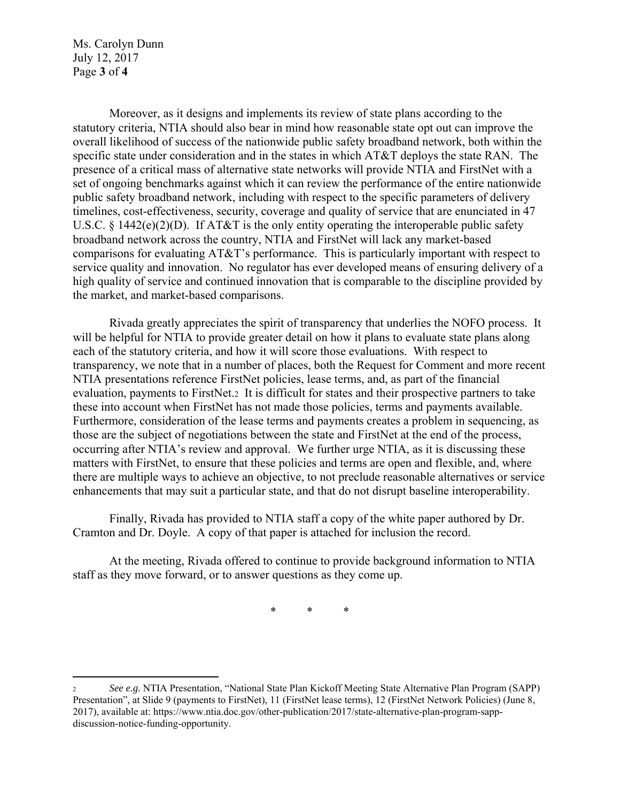Ms. Carolyn Dunn July 12, 2017 Page **3** of **4**

 $\overline{a}$ 

 Moreover, as it designs and implements its review of state plans according to the statutory criteria, NTIA should also bear in mind how reasonable state opt out can improve the overall likelihood of success of the nationwide public safety broadband network, both within the specific state under consideration and in the states in which AT&T deploys the state RAN. The presence of a critical mass of alternative state networks will provide NTIA and FirstNet with a set of ongoing benchmarks against which it can review the performance of the entire nationwide public safety broadband network, including with respect to the specific parameters of delivery timelines, cost-effectiveness, security, coverage and quality of service that are enunciated in 47 U.S.C.  $\S 1442(e)(2)(D)$ . If AT&T is the only entity operating the interoperable public safety broadband network across the country, NTIA and FirstNet will lack any market-based comparisons for evaluating AT&T's performance. This is particularly important with respect to service quality and innovation. No regulator has ever developed means of ensuring delivery of a high quality of service and continued innovation that is comparable to the discipline provided by the market, and market-based comparisons.

 Rivada greatly appreciates the spirit of transparency that underlies the NOFO process. It will be helpful for NTIA to provide greater detail on how it plans to evaluate state plans along each of the statutory criteria, and how it will score those evaluations. With respect to transparency, we note that in a number of places, both the Request for Comment and more recent NTIA presentations reference FirstNet policies, lease terms, and, as part of the financial evaluation, payments to FirstNet.2 It is difficult for states and their prospective partners to take these into account when FirstNet has not made those policies, terms and payments available. Furthermore, consideration of the lease terms and payments creates a problem in sequencing, as those are the subject of negotiations between the state and FirstNet at the end of the process, occurring after NTIA's review and approval. We further urge NTIA, as it is discussing these matters with FirstNet, to ensure that these policies and terms are open and flexible, and, where there are multiple ways to achieve an objective, to not preclude reasonable alternatives or service enhancements that may suit a particular state, and that do not disrupt baseline interoperability.

 Finally, Rivada has provided to NTIA staff a copy of the white paper authored by Dr. Cramton and Dr. Doyle. A copy of that paper is attached for inclusion the record.

 At the meeting, Rivada offered to continue to provide background information to NTIA staff as they move forward, or to answer questions as they come up.

\* \* \*

<sup>2</sup> *See e.g.* NTIA Presentation, "National State Plan Kickoff Meeting State Alternative Plan Program (SAPP) Presentation", at Slide 9 (payments to FirstNet), 11 (FirstNet lease terms), 12 (FirstNet Network Policies) (June 8, 2017), available at: https://www.ntia.doc.gov/other-publication/2017/state-alternative-plan-program-sappdiscussion-notice-funding-opportunity.